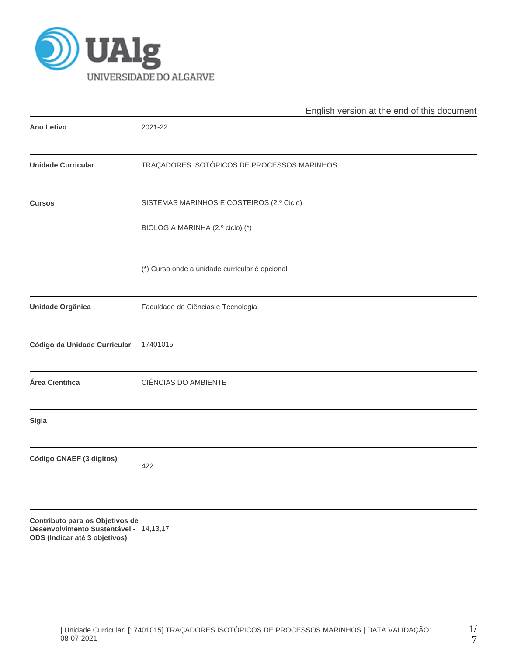

|                                                                                                            | English version at the end of this document    |  |  |  |
|------------------------------------------------------------------------------------------------------------|------------------------------------------------|--|--|--|
| <b>Ano Letivo</b>                                                                                          | 2021-22                                        |  |  |  |
| <b>Unidade Curricular</b>                                                                                  | TRAÇADORES ISOTÓPICOS DE PROCESSOS MARINHOS    |  |  |  |
| <b>Cursos</b>                                                                                              | SISTEMAS MARINHOS E COSTEIROS (2.º Ciclo)      |  |  |  |
|                                                                                                            | BIOLOGIA MARINHA (2.º ciclo) (*)               |  |  |  |
|                                                                                                            | (*) Curso onde a unidade curricular é opcional |  |  |  |
| Unidade Orgânica                                                                                           | Faculdade de Ciências e Tecnologia             |  |  |  |
| Código da Unidade Curricular                                                                               | 17401015                                       |  |  |  |
| Área Científica                                                                                            | CIÊNCIAS DO AMBIENTE                           |  |  |  |
| <b>Sigla</b>                                                                                               |                                                |  |  |  |
| Código CNAEF (3 dígitos)                                                                                   | 422                                            |  |  |  |
| Contributo para os Objetivos de<br>Desenvolvimento Sustentável - 14,13,17<br>ODS (Indicar até 3 objetivos) |                                                |  |  |  |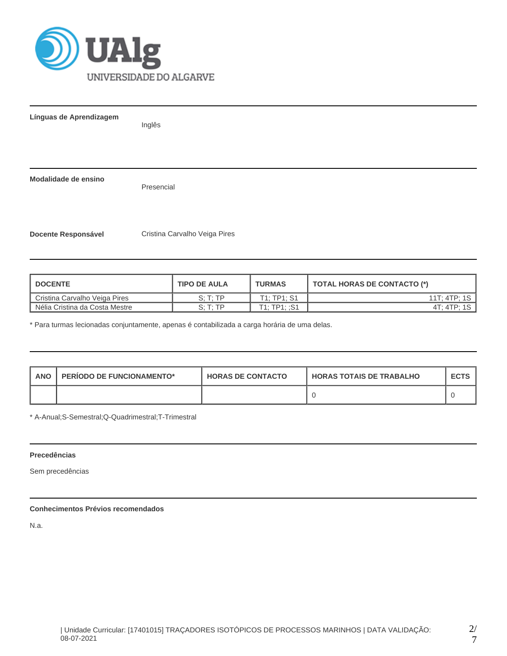

**Línguas de Aprendizagem** Inglês **Modalidade de ensino** Presencial **Docente Responsável Cristina Carvalho Veiga Pires** 

| <b>I DOCENTE</b>               | <b>TIPO DE AULA</b>  | <b>TURMAS</b> | TOTAL HORAS DE CONTACTO (*) |
|--------------------------------|----------------------|---------------|-----------------------------|
| Cristina Carvalho Veiga Pires  | $S \cdot T \cdot TP$ | T1: TP1: S1   | 11T: 4TP: 1S                |
| Nélia Cristina da Costa Mestre | S: T: TP             | T1:TP1:.S1    | 4T: 4TP: 1S                 |

\* Para turmas lecionadas conjuntamente, apenas é contabilizada a carga horária de uma delas.

| <b>PERIODO DE FUNCIONAMENTO*</b><br>ANO |  | <b>HORAS DE CONTACTO</b> | <b>HORAS TOTAIS DE TRABALHO</b> | <b>ECTS</b> |
|-----------------------------------------|--|--------------------------|---------------------------------|-------------|
|                                         |  |                          |                                 |             |

\* A-Anual;S-Semestral;Q-Quadrimestral;T-Trimestral

## **Precedências**

Sem precedências

# **Conhecimentos Prévios recomendados**

N.a.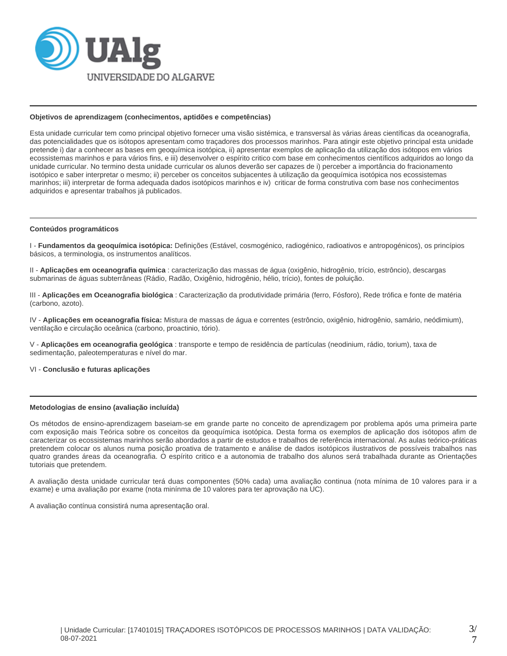

#### **Objetivos de aprendizagem (conhecimentos, aptidões e competências)**

Esta unidade curricular tem como principal objetivo fornecer uma visão sistémica, e transversal às várias áreas científicas da oceanografia, das potencialidades que os isótopos apresentam como traçadores dos processos marinhos. Para atingir este objetivo principal esta unidade pretende i) dar a conhecer as bases em geoquímica isotópica, ii) apresentar exemplos de aplicação da utilização dos isótopos em vários ecossistemas marinhos e para vários fins, e iii) desenvolver o espírito critico com base em conhecimentos científicos adquiridos ao longo da unidade curricular. No termino desta unidade curricular os alunos deverão ser capazes de i) perceber a importância do fracionamento isotópico e saber interpretar o mesmo; ii) perceber os conceitos subjacentes à utilização da geoquímica isotópica nos ecossistemas marinhos; iii) interpretar de forma adequada dados isotópicos marinhos e iv) criticar de forma construtiva com base nos conhecimentos adquiridos e apresentar trabalhos já publicados.

#### **Conteúdos programáticos**

I - **Fundamentos da geoquímica isotópica:** Definições (Estável, cosmogénico, radiogénico, radioativos e antropogénicos), os princípios básicos, a terminologia, os instrumentos analíticos.

II - **Aplicações em oceanografia química** : caracterização das massas de água (oxigênio, hidrogênio, trício, estrôncio), descargas submarinas de águas subterrâneas (Rádio, Radão, Oxigênio, hidrogênio, hélio, trício), fontes de poluição.

III - **Aplicações em Oceanografia biológica** : Caracterização da produtividade primária (ferro, Fósforo), Rede trófica e fonte de matéria (carbono, azoto).

IV - **Aplicações em oceanografia física:** Mistura de massas de água e correntes (estrôncio, oxigênio, hidrogênio, samário, neódimium), ventilação e circulação oceânica (carbono, proactinio, tório).

V - **Aplicações em oceanografia geológica** : transporte e tempo de residência de partículas (neodinium, rádio, torium), taxa de sedimentação, paleotemperaturas e nível do mar.

VI - **Conclusão e futuras aplicações**

## **Metodologias de ensino (avaliação incluída)**

Os métodos de ensino-aprendizagem baseiam-se em grande parte no conceito de aprendizagem por problema após uma primeira parte com exposição mais Teórica sobre os conceitos da geoquímica isotópica. Desta forma os exemplos de aplicação dos isótopos afim de caracterizar os ecossistemas marinhos serão abordados a partir de estudos e trabalhos de referência internacional. As aulas teórico-práticas pretendem colocar os alunos numa posição proativa de tratamento e análise de dados isotópicos ilustrativos de possíveis trabalhos nas quatro grandes áreas da oceanografia. O espírito critico e a autonomia de trabalho dos alunos será trabalhada durante as Orientações tutoriais que pretendem.

A avaliação desta unidade curricular terá duas componentes (50% cada) uma avaliação continua (nota mínima de 10 valores para ir a exame) e uma avaliação por exame (nota minínma de 10 valores para ter aprovação na UC).

A avaliação contínua consistirá numa apresentação oral.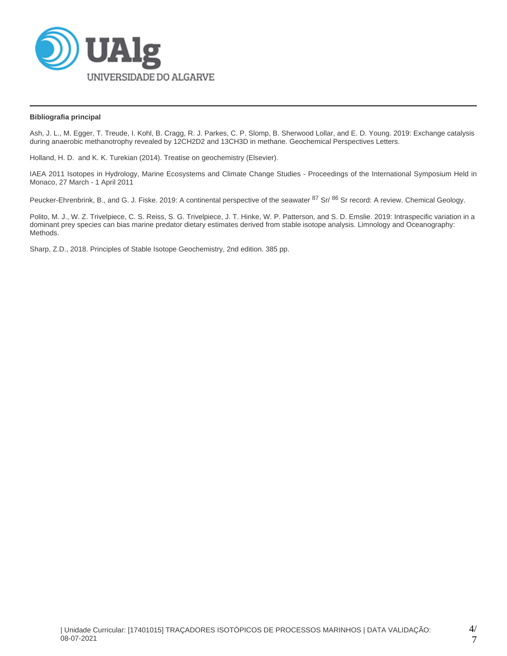

## **Bibliografia principal**

Ash, J. L., M. Egger, T. Treude, I. Kohl, B. Cragg, R. J. Parkes, C. P. Slomp, B. Sherwood Lollar, and E. D. Young. 2019: Exchange catalysis during anaerobic methanotrophy revealed by 12CH2D2 and 13CH3D in methane. Geochemical Perspectives Letters.

Holland, H. D. and K. K. Turekian (2014). Treatise on geochemistry (Elsevier).

IAEA 2011 Isotopes in Hydrology, Marine Ecosystems and Climate Change Studies - Proceedings of the International Symposium Held in Monaco, 27 March - 1 April 2011

Peucker-Ehrenbrink, B., and G. J. Fiske. 2019: A continental perspective of the seawater <sup>87</sup> Sr/ <sup>86</sup> Sr record: A review. Chemical Geology.

Polito, M. J., W. Z. Trivelpiece, C. S. Reiss, S. G. Trivelpiece, J. T. Hinke, W. P. Patterson, and S. D. Emslie. 2019: Intraspecific variation in a dominant prey species can bias marine predator dietary estimates derived from stable isotope analysis. Limnology and Oceanography: Methods.

Sharp, Z.D., 2018. Principles of Stable Isotope Geochemistry, 2nd edition. 385 pp.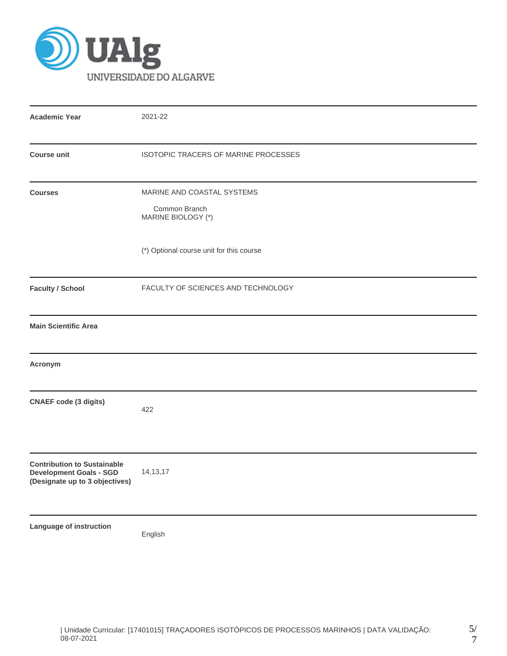

| <b>Academic Year</b>                                                                                   | 2021-22                                                           |
|--------------------------------------------------------------------------------------------------------|-------------------------------------------------------------------|
| <b>Course unit</b>                                                                                     | ISOTOPIC TRACERS OF MARINE PROCESSES                              |
| <b>Courses</b>                                                                                         | MARINE AND COASTAL SYSTEMS<br>Common Branch<br>MARINE BIOLOGY (*) |
|                                                                                                        | (*) Optional course unit for this course                          |
| <b>Faculty / School</b>                                                                                | FACULTY OF SCIENCES AND TECHNOLOGY                                |
| <b>Main Scientific Area</b>                                                                            |                                                                   |
| Acronym                                                                                                |                                                                   |
| <b>CNAEF</b> code (3 digits)                                                                           | 422                                                               |
| <b>Contribution to Sustainable</b><br><b>Development Goals - SGD</b><br>(Designate up to 3 objectives) | 14, 13, 17                                                        |
| Language of instruction                                                                                | English                                                           |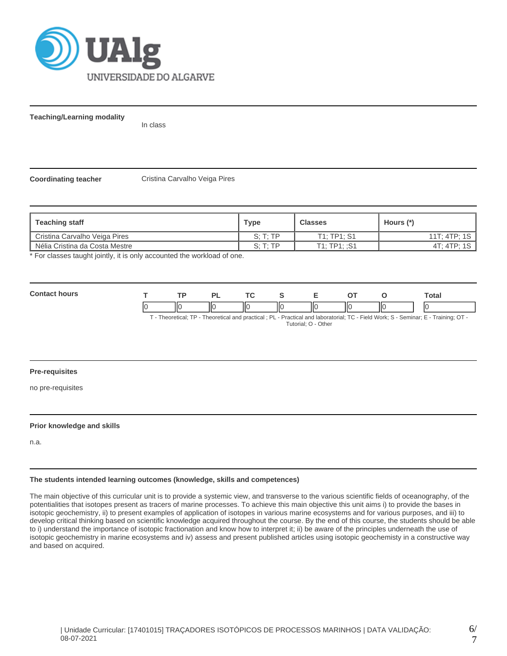

**Teaching/Learning modality**

In class

**Coordinating teacher Cristina Carvalho Veiga Pires** 

| Teaching staff                 | Type                 | <b>Classes</b> | Hours (*)    |
|--------------------------------|----------------------|----------------|--------------|
| Cristina Carvalho Veiga Pires  | S: T: TP             | T1: TP1: S1    | 11T: 4TP: 1S |
| Nélia Cristina da Costa Mestre | $S \cdot T \cdot TP$ | T1: TP1: :S1   | 4T: 4TP: 1S  |

\* For classes taught jointly, it is only accounted the workload of one.

**Contact hours T TP PL TC S E OT O Total** 0 ||0 ||0 ||0 ||0 ||0 ||0 ||0 ||0

T - Theoretical; TP - Theoretical and practical ; PL - Practical and laboratorial; TC - Field Work; S - Seminar; E - Training; OT - Tutorial; O - Other

## **Pre-requisites**

no pre-requisites

#### **Prior knowledge and skills**

n.a.

#### **The students intended learning outcomes (knowledge, skills and competences)**

The main objective of this curricular unit is to provide a systemic view, and transverse to the various scientific fields of oceanography, of the potentialities that isotopes present as tracers of marine processes. To achieve this main objective this unit aims i) to provide the bases in isotopic geochemistry, ii) to present examples of application of isotopes in various marine ecosystems and for various purposes, and iii) to develop critical thinking based on scientific knowledge acquired throughout the course. By the end of this course, the students should be able to i) understand the importance of isotopic fractionation and know how to interpret it; ii) be aware of the principles underneath the use of isotopic geochemistry in marine ecosystems and iv) assess and present published articles using isotopic geochemisty in a constructive way and based on acquired.